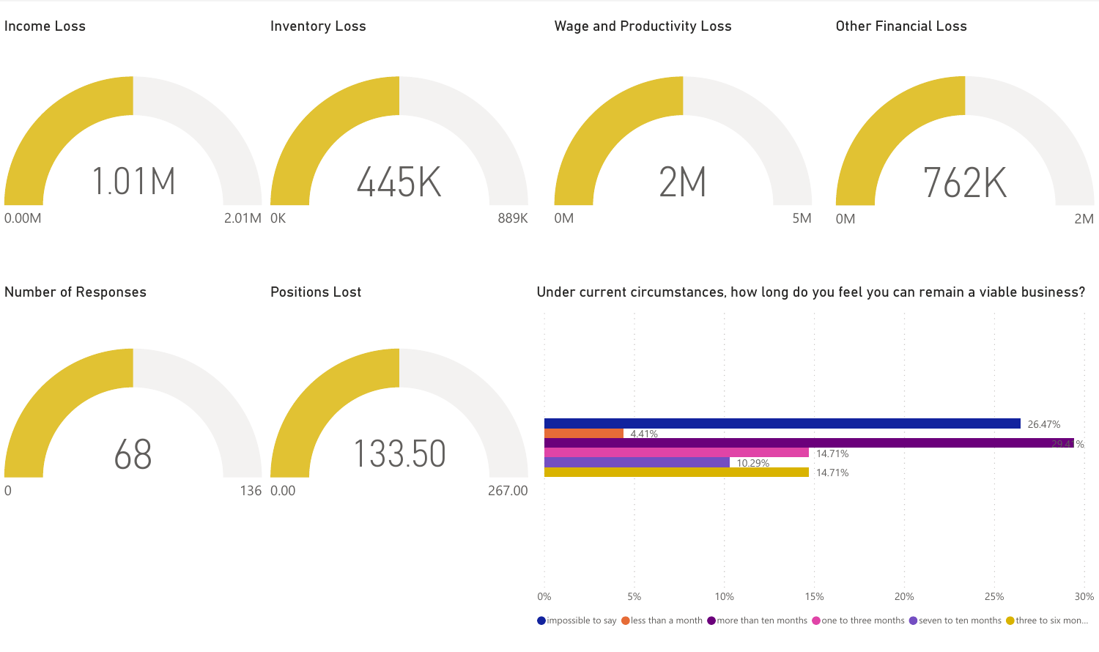

 $\bigcirc$  impossible to say  $\bigcirc$  less than a month  $\bigcirc$  more than ten months  $\bigcirc$  one to three months  $\bigcirc$  seven to ten months  $\bigcirc$  three to six mon...